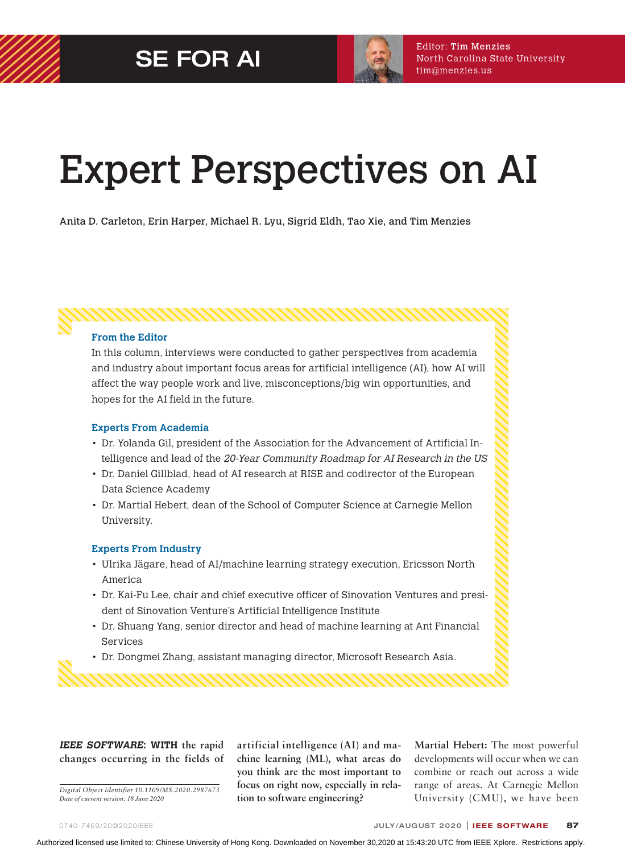

# Expert Perspectives on AI

Anita D. Carleton, Erin Harper, Michael R. Lyu, Sigrid Eldh, Tao Xie, and Tim Menzies

**From the Editor**

In this column, interviews were conducted to gather perspectives from academia and industry about important focus areas for artificial intelligence (AI), how AI will affect the way people work and live, misconceptions/big win opportunities, and hopes for the AI field in the future.

#### **Experts From Academia**

- Dr. Yolanda Gil, president of the Association for the Advancement of Artificial Intelligence and lead of the 20-Year Community Roadmap for AI Research in the US
- Dr. Daniel Gillblad, head of AI research at RISE and codirector of the European Data Science Academy
- Dr. Martial Hebert, dean of the School of Computer Science at Carnegie Mellon University.

#### **Experts From Industry**

- Ulrika Jägare, head of AI/machine learning strategy execution, Ericsson North America
- Dr. Kai-Fu Lee, chair and chief executive officer of Sinovation Ventures and president of Sinovation Venture's Artificial Intelligence Institute
- Dr. Shuang Yang, senior director and head of machine learning at Ant Financial Services
- Dr. Dongmei Zhang, assistant managing director, Microsoft Research Asia.

**I EEE SOFTWARE: WITH the rapid changes occurring in the fields of** 

*Digital Object Identifier 10.1109/MS.2020.2987673 Date of current version: 18 June 2020*

**artificial intelligence (AI) and machine learning (ML), what areas do you think are the most important to focus on right now, especially in relation to software engineering?**

**Martial Hebert:** The most powerful developments will occur when we can combine or reach out across a wide range of areas. At Carnegie Mellon University (CMU), we have been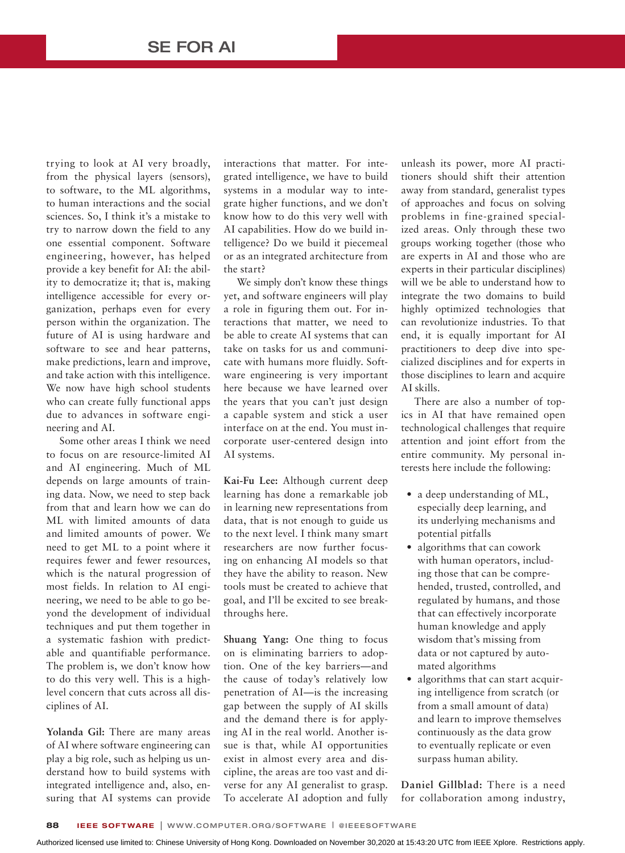trying to look at AI very broadly, from the physical layers (sensors), to software, to the ML algorithms, to human interactions and the social sciences. So, I think it's a mistake to try to narrow down the field to any one essential component. Software engineering, however, has helped provide a key benefit for AI: the ability to democratize it; that is, making intelligence accessible for every organization, perhaps even for every person within the organization. The future of AI is using hardware and software to see and hear patterns, make predictions, learn and improve, and take action with this intelligence. We now have high school students who can create fully functional apps due to advances in software engineering and AI.

Some other areas I think we need to focus on are resource-limited AI and AI engineering. Much of ML depends on large amounts of training data. Now, we need to step back from that and learn how we can do ML with limited amounts of data and limited amounts of power. We need to get ML to a point where it requires fewer and fewer resources, which is the natural progression of most fields. In relation to AI engineering, we need to be able to go beyond the development of individual techniques and put them together in a systematic fashion with predictable and quantifiable performance. The problem is, we don't know how to do this very well. This is a highlevel concern that cuts across all disciplines of AI.

**Yolanda Gil:** There are many areas of AI where software engineering can play a big role, such as helping us understand how to build systems with integrated intelligence and, also, ensuring that AI systems can provide interactions that matter. For integrated intelligence, we have to build systems in a modular way to integrate higher functions, and we don't know how to do this very well with AI capabilities. How do we build intelligence? Do we build it piecemeal or as an integrated architecture from the start?

We simply don't know these things yet, and software engineers will play a role in figuring them out. For interactions that matter, we need to be able to create AI systems that can take on tasks for us and communicate with humans more fluidly. Software engineering is very important here because we have learned over the years that you can't just design a capable system and stick a user interface on at the end. You must incorporate user-centered design into AI systems.

**Kai-Fu Lee:** Although current deep learning has done a remarkable job in learning new representations from data, that is not enough to guide us to the next level. I think many smart researchers are now further focusing on enhancing AI models so that they have the ability to reason. New tools must be created to achieve that goal, and I'll be excited to see breakthroughs here.

**Shuang Yang:** One thing to focus on is eliminating barriers to adoption. One of the key barriers—and the cause of today's relatively low penetration of AI—is the increasing gap between the supply of AI skills and the demand there is for applying AI in the real world. Another issue is that, while AI opportunities exist in almost every area and discipline, the areas are too vast and diverse for any AI generalist to grasp. To accelerate AI adoption and fully unleash its power, more AI practitioners should shift their attention away from standard, generalist types of approaches and focus on solving problems in fine-grained specialized areas. Only through these two groups working together (those who are experts in AI and those who are experts in their particular disciplines) will we be able to understand how to integrate the two domains to build highly optimized technologies that can revolutionize industries. To that end, it is equally important for AI practitioners to deep dive into specialized disciplines and for experts in those disciplines to learn and acquire AI skills.

There are also a number of topics in AI that have remained open technological challenges that require attention and joint effort from the entire community. My personal interests here include the following:

- a deep understanding of ML, especially deep learning, and its underlying mechanisms and potential pitfalls
- algorithms that can cowork with human operators, including those that can be comprehended, trusted, controlled, and regulated by humans, and those that can effectively incorporate human knowledge and apply wisdom that's missing from data or not captured by automated algorithms
- algorithms that can start acquiring intelligence from scratch (or from a small amount of data) and learn to improve themselves continuously as the data grow to eventually replicate or even surpass human ability.

**Daniel Gillblad:** There is a need for collaboration among industry,

Authorized licensed use limited to: Chinese University of Hong Kong. Downloaded on November 30,2020 at 15:43:20 UTC from IEEE Xplore. Restrictions apply.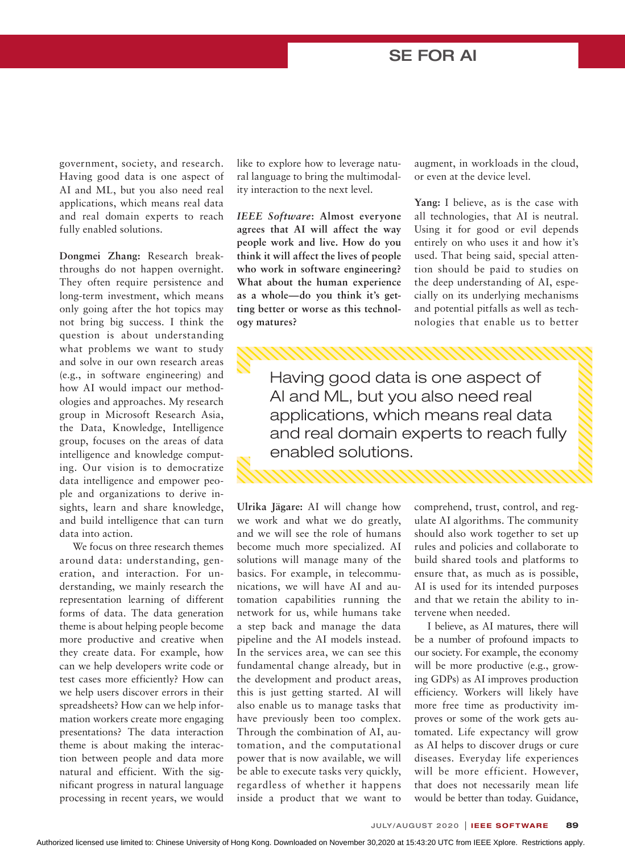government, society, and research. Having good data is one aspect of AI and ML, but you also need real applications, which means real data and real domain experts to reach fully enabled solutions.

**Dongmei Zhang:** Research breakthroughs do not happen overnight. They often require persistence and long-term investment, which means only going after the hot topics may not bring big success. I think the question is about understanding what problems we want to study and solve in our own research areas (e.g., in software engineering) and how AI would impact our methodologies and approaches. My research group in Microsoft Research Asia, the Data, Knowledge, Intelligence group, focuses on the areas of data intelligence and knowledge computing. Our vision is to democratize data intelligence and empower people and organizations to derive insights, learn and share knowledge, and build intelligence that can turn data into action.

We focus on three research themes around data: understanding, generation, and interaction. For understanding, we mainly research the representation learning of different forms of data. The data generation theme is about helping people become more productive and creative when they create data. For example, how can we help developers write code or test cases more efficiently? How can we help users discover errors in their spreadsheets? How can we help information workers create more engaging presentations? The data interaction theme is about making the interaction between people and data more natural and efficient. With the significant progress in natural language processing in recent years, we would

like to explore how to leverage natural language to bring the multimodality interaction to the next level.

*IEEE Software***: Almost everyone agrees that AI will affect the way people work and live. How do you think it will affect the lives of people who work in software engineering? What about the human experience as a whole—do you think it's getting better or worse as this technology matures?**

augment, in workloads in the cloud, or even at the device level.

**Yang:** I believe, as is the case with all technologies, that AI is neutral. Using it for good or evil depends entirely on who uses it and how it's used. That being said, special attention should be paid to studies on the deep understanding of AI, especially on its underlying mechanisms and potential pitfalls as well as technologies that enable us to better

Having good data is one aspect of AI and ML, but you also need real applications, which means real data and real domain experts to reach fully enabled solutions.

**Ulrika Jägare:** AI will change how we work and what we do greatly, and we will see the role of humans become much more specialized. AI solutions will manage many of the basics. For example, in telecommunications, we will have AI and automation capabilities running the network for us, while humans take a step back and manage the data pipeline and the AI models instead. In the services area, we can see this fundamental change already, but in the development and product areas, this is just getting started. AI will also enable us to manage tasks that have previously been too complex. Through the combination of AI, automation, and the computational power that is now available, we will be able to execute tasks very quickly, regardless of whether it happens inside a product that we want to

comprehend, trust, control, and regulate AI algorithms. The community should also work together to set up rules and policies and collaborate to build shared tools and platforms to ensure that, as much as is possible, AI is used for its intended purposes and that we retain the ability to intervene when needed.

I believe, as AI matures, there will be a number of profound impacts to our society. For example, the economy will be more productive (e.g., growing GDPs) as AI improves production efficiency. Workers will likely have more free time as productivity improves or some of the work gets automated. Life expectancy will grow as AI helps to discover drugs or cure diseases. Everyday life experiences will be more efficient. However, that does not necessarily mean life would be better than today. Guidance,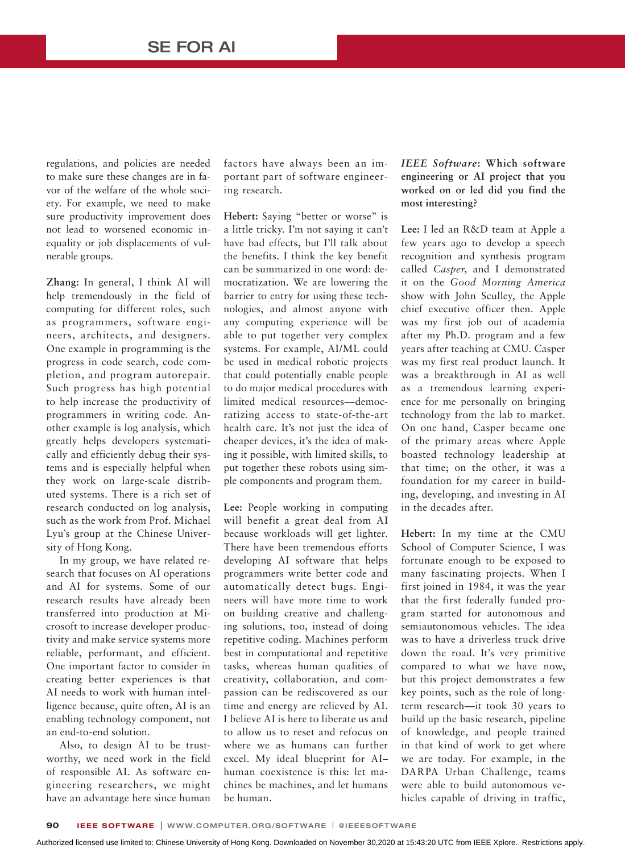regulations, and policies are needed to make sure these changes are in favor of the welfare of the whole society. For example, we need to make sure productivity improvement does not lead to worsened economic inequality or job displacements of vulnerable groups.

**Zhang:** In general, I think AI will help tremendously in the field of computing for different roles, such as programmers, software engineers, architects, and designers. One example in programming is the progress in code search, code completion, and program autorepair. Such progress has high potential to help increase the productivity of programmers in writing code. Another example is log analysis, which greatly helps developers systematically and efficiently debug their systems and is especially helpful when they work on large-scale distributed systems. There is a rich set of research conducted on log analysis, such as the work from Prof. Michael Lyu's group at the Chinese University of Hong Kong.

In my group, we have related research that focuses on AI operations and AI for systems. Some of our research results have already been transferred into production at Microsoft to increase developer productivity and make service systems more reliable, performant, and efficient. One important factor to consider in creating better experiences is that AI needs to work with human intelligence because, quite often, AI is an enabling technology component, not an end-to-end solution.

Also, to design AI to be trustworthy, we need work in the field of responsible AI. As software engineering researchers, we might have an advantage here since human

factors have always been an important part of software engineering research.

Hebert: Saying "better or worse" is a little tricky. I'm not saying it can't have bad effects, but I'll talk about the benefits. I think the key benefit can be summarized in one word: democratization. We are lowering the barrier to entry for using these technologies, and almost anyone with any computing experience will be able to put together very complex systems. For example, AI/ML could be used in medical robotic projects that could potentially enable people to do major medical procedures with limited medical resources—democratizing access to state-of-the-art health care. It's not just the idea of cheaper devices, it's the idea of making it possible, with limited skills, to put together these robots using simple components and program them.

**Lee:** People working in computing will benefit a great deal from AI because workloads will get lighter. There have been tremendous efforts developing AI software that helps programmers write better code and automatically detect bugs. Engineers will have more time to work on building creative and challenging solutions, too, instead of doing repetitive coding. Machines perform best in computational and repetitive tasks, whereas human qualities of creativity, collaboration, and compassion can be rediscovered as our time and energy are relieved by AI. I believe AI is here to liberate us and to allow us to reset and refocus on where we as humans can further excel. My ideal blueprint for AI– human coexistence is this: let machines be machines, and let humans be human.

*IEEE Software***: Which software engineering or AI project that you worked on or led did you find the most interesting?**

**Lee:** I led an R&D team at Apple a few years ago to develop a speech recognition and synthesis program called *Casper*, and I demonstrated it on the *Good Morning America* show with John Sculley, the Apple chief executive officer then. Apple was my first job out of academia after my Ph.D. program and a few years after teaching at CMU. Casper was my first real product launch. It was a breakthrough in AI as well as a tremendous learning experience for me personally on bringing technology from the lab to market. On one hand, Casper became one of the primary areas where Apple boasted technology leadership at that time; on the other, it was a foundation for my career in building, developing, and investing in AI in the decades after.

**Hebert:** In my time at the CMU School of Computer Science, I was fortunate enough to be exposed to many fascinating projects. When I first joined in 1984, it was the year that the first federally funded program started for autonomous and semiautonomous vehicles. The idea was to have a driverless truck drive down the road. It's very primitive compared to what we have now, but this project demonstrates a few key points, such as the role of longterm research—it took 30 years to build up the basic research, pipeline of knowledge, and people trained in that kind of work to get where we are today. For example, in the DARPA Urban Challenge, teams were able to build autonomous vehicles capable of driving in traffic,

Authorized licensed use limited to: Chinese University of Hong Kong. Downloaded on November 30,2020 at 15:43:20 UTC from IEEE Xplore. Restrictions apply.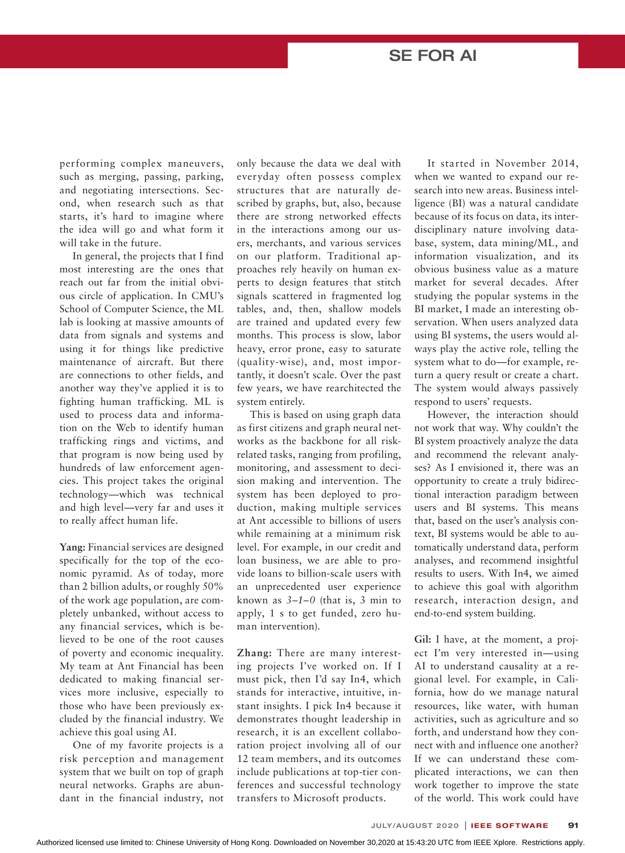performing complex maneuvers, such as merging, passing, parking, and negotiating intersections. Second, when research such as that starts, it's hard to imagine where the idea will go and what form it will take in the future.

In general, the projects that I find most interesting are the ones that reach out far from the initial obvious circle of application. In CMU's School of Computer Science, the ML lab is looking at massive amounts of data from signals and systems and using it for things like predictive maintenance of aircraft. But there are connections to other fields, and another way they've applied it is to fighting human trafficking. ML is used to process data and information on the Web to identify human trafficking rings and victims, and that program is now being used by hundreds of law enforcement agencies. This project takes the original technology—which was technical and high level—very far and uses it to really affect human life.

**Yang:** Financial services are designed specifically for the top of the economic pyramid. As of today, more than 2 billion adults, or roughly 50% of the work age population, are completely unbanked, without access to any financial services, which is believed to be one of the root causes of poverty and economic inequality. My team at Ant Financial has been dedicated to making financial services more inclusive, especially to those who have been previously excluded by the financial industry. We achieve this goal using AI.

One of my favorite projects is a risk perception and management system that we built on top of graph neural networks. Graphs are abundant in the financial industry, not

only because the data we deal with everyday often possess complex structures that are naturally described by graphs, but, also, because there are strong networked effects in the interactions among our users, merchants, and various services on our platform. Traditional approaches rely heavily on human experts to design features that stitch signals scattered in fragmented log tables, and, then, shallow models are trained and updated every few months. This process is slow, labor heavy, error prone, easy to saturate (quality-wise), and, most importantly, it doesn't scale. Over the past few years, we have rearchitected the system entirely.

This is based on using graph data as first citizens and graph neural networks as the backbone for all riskrelated tasks, ranging from profiling, monitoring, and assessment to decision making and intervention. The system has been deployed to production, making multiple services at Ant accessible to billions of users while remaining at a minimum risk level. For example, in our credit and loan business, we are able to provide loans to billion-scale users with an unprecedented user experience known as *3–1–0* (that is, 3 min to apply, 1 s to get funded, zero human intervention).

**Zhang:** There are many interesting projects I've worked on. If I must pick, then I'd say In4, which stands for interactive, intuitive, instant insights. I pick In4 because it demonstrates thought leadership in research, it is an excellent collaboration project involving all of our 12 team members, and its outcomes include publications at top-tier conferences and successful technology transfers to Microsoft products.

It started in November 2014, when we wanted to expand our research into new areas. Business intelligence (BI) was a natural candidate because of its focus on data, its interdisciplinary nature involving database, system, data mining/ML, and information visualization, and its obvious business value as a mature market for several decades. After studying the popular systems in the BI market, I made an interesting observation. When users analyzed data using BI systems, the users would always play the active role, telling the system what to do—for example, return a query result or create a chart. The system would always passively respond to users' requests.

However, the interaction should not work that way. Why couldn't the BI system proactively analyze the data and recommend the relevant analyses? As I envisioned it, there was an opportunity to create a truly bidirectional interaction paradigm between users and BI systems. This means that, based on the user's analysis context, BI systems would be able to automatically understand data, perform analyses, and recommend insightful results to users. With In4, we aimed to achieve this goal with algorithm research, interaction design, and end-to-end system building.

**Gil:** I have, at the moment, a project I'm very interested in—using AI to understand causality at a regional level. For example, in California, how do we manage natural resources, like water, with human activities, such as agriculture and so forth, and understand how they connect with and influence one another? If we can understand these complicated interactions, we can then work together to improve the state of the world. This work could have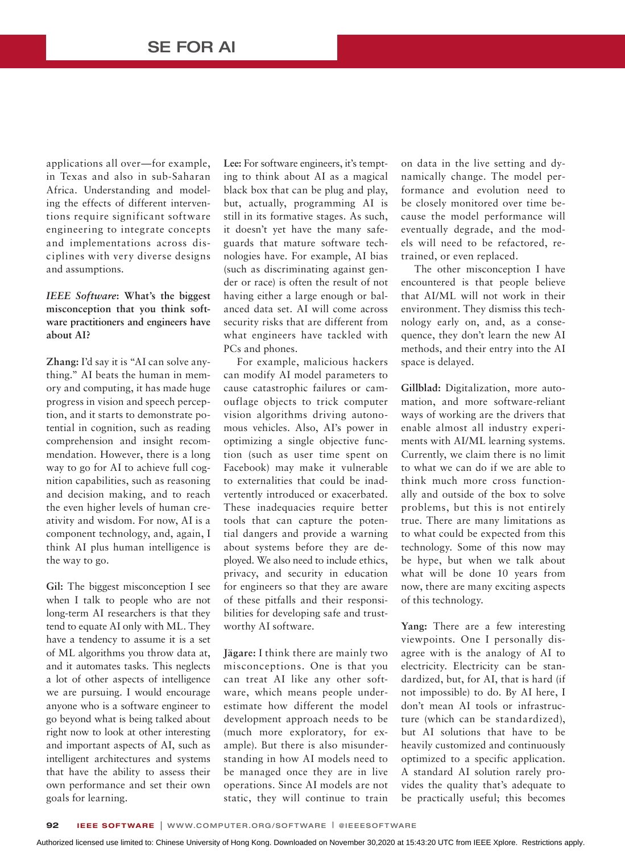applications all over—for example, in Texas and also in sub-Saharan Africa. Understanding and modeling the effects of different interventions require significant software engineering to integrate concepts and implementations across disciplines with very diverse designs and assumptions.

#### *IEEE Software***: What's the biggest misconception that you think software practitioners and engineers have about AI?**

**Zhang:** I'd say it is "AI can solve anything." AI beats the human in memory and computing, it has made huge progress in vision and speech perception, and it starts to demonstrate potential in cognition, such as reading comprehension and insight recommendation. However, there is a long way to go for AI to achieve full cognition capabilities, such as reasoning and decision making, and to reach the even higher levels of human creativity and wisdom. For now, AI is a component technology, and, again, I think AI plus human intelligence is the way to go.

**Gil:** The biggest misconception I see when I talk to people who are not long-term AI researchers is that they tend to equate AI only with ML. They have a tendency to assume it is a set of ML algorithms you throw data at, and it automates tasks. This neglects a lot of other aspects of intelligence we are pursuing. I would encourage anyone who is a software engineer to go beyond what is being talked about right now to look at other interesting and important aspects of AI, such as intelligent architectures and systems that have the ability to assess their own performance and set their own goals for learning.

**Lee:** For software engineers, it's tempting to think about AI as a magical black box that can be plug and play, but, actually, programming AI is still in its formative stages. As such, it doesn't yet have the many safeguards that mature software technologies have. For example, AI bias (such as discriminating against gender or race) is often the result of not having either a large enough or balanced data set. AI will come across security risks that are different from what engineers have tackled with PCs and phones.

For example, malicious hackers can modify AI model parameters to cause catastrophic failures or camouflage objects to trick computer vision algorithms driving autonomous vehicles. Also, AI's power in optimizing a single objective function (such as user time spent on Facebook) may make it vulnerable to externalities that could be inadvertently introduced or exacerbated. These inadequacies require better tools that can capture the potential dangers and provide a warning about systems before they are deployed. We also need to include ethics, privacy, and security in education for engineers so that they are aware of these pitfalls and their responsibilities for developing safe and trustworthy AI software.

**Jägare:** I think there are mainly two misconceptions. One is that you can treat AI like any other software, which means people underestimate how different the model development approach needs to be (much more exploratory, for example). But there is also misunderstanding in how AI models need to be managed once they are in live operations. Since AI models are not static, they will continue to train

on data in the live setting and dynamically change. The model performance and evolution need to be closely monitored over time because the model performance will eventually degrade, and the models will need to be refactored, retrained, or even replaced.

The other misconception I have encountered is that people believe that AI/ML will not work in their environment. They dismiss this technology early on, and, as a consequence, they don't learn the new AI methods, and their entry into the AI space is delayed.

**Gillblad:** Digitalization, more automation, and more software-reliant ways of working are the drivers that enable almost all industry experiments with AI/ML learning systems. Currently, we claim there is no limit to what we can do if we are able to think much more cross functionally and outside of the box to solve problems, but this is not entirely true. There are many limitations as to what could be expected from this technology. Some of this now may be hype, but when we talk about what will be done 10 years from now, there are many exciting aspects of this technology.

**Yang:** There are a few interesting viewpoints. One I personally disagree with is the analogy of AI to electricity. Electricity can be standardized, but, for AI, that is hard (if not impossible) to do. By AI here, I don't mean AI tools or infrastructure (which can be standardized), but AI solutions that have to be heavily customized and continuously optimized to a specific application. A standard AI solution rarely provides the quality that's adequate to be practically useful; this becomes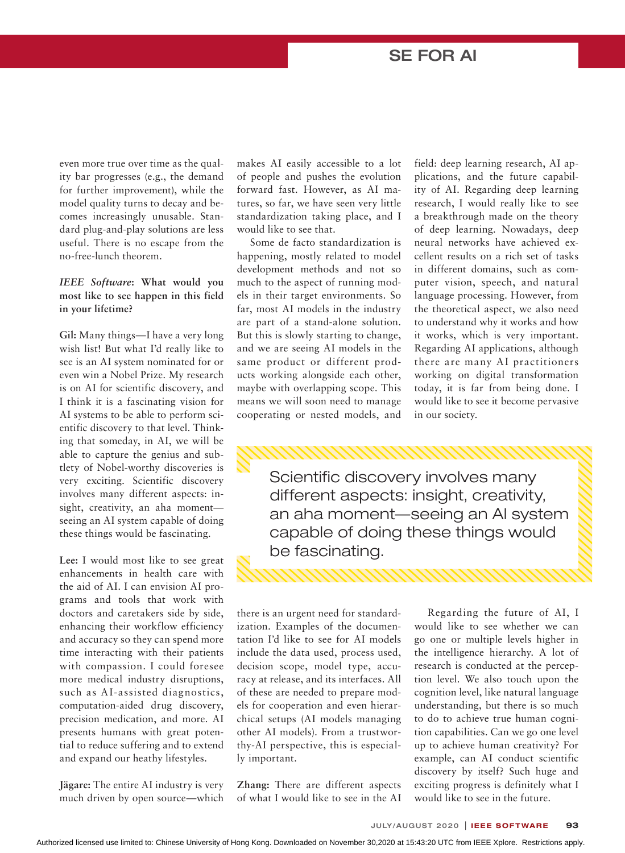even more true over time as the quality bar progresses (e.g., the demand for further improvement), while the model quality turns to decay and becomes increasingly unusable. Standard plug-and-play solutions are less useful. There is no escape from the no-free-lunch theorem.

#### *IEEE Software***: What would you most like to see happen in this field in your lifetime?**

**Gil:** Many things—I have a very long wish list! But what I'd really like to see is an AI system nominated for or even win a Nobel Prize. My research is on AI for scientific discovery, and I think it is a fascinating vision for AI systems to be able to perform scientific discovery to that level. Thinking that someday, in AI, we will be able to capture the genius and subtlety of Nobel-worthy discoveries is very exciting. Scientific discovery involves many different aspects: insight, creativity, an aha moment seeing an AI system capable of doing these things would be fascinating.

**Lee:** I would most like to see great enhancements in health care with the aid of AI. I can envision AI programs and tools that work with doctors and caretakers side by side, enhancing their workflow efficiency and accuracy so they can spend more time interacting with their patients with compassion. I could foresee more medical industry disruptions, such as AI-assisted diagnostics, computation-aided drug discovery, precision medication, and more. AI presents humans with great potential to reduce suffering and to extend and expand our heathy lifestyles.

**Jägare:** The entire AI industry is very much driven by open source—which

makes AI easily accessible to a lot of people and pushes the evolution forward fast. However, as AI matures, so far, we have seen very little standardization taking place, and I would like to see that.

Some de facto standardization is happening, mostly related to model development methods and not so much to the aspect of running models in their target environments. So far, most AI models in the industry are part of a stand-alone solution. But this is slowly starting to change, and we are seeing AI models in the same product or different products working alongside each other, maybe with overlapping scope. This means we will soon need to manage cooperating or nested models, and

field: deep learning research, AI applications, and the future capability of AI. Regarding deep learning research, I would really like to see a breakthrough made on the theory of deep learning. Nowadays, deep neural networks have achieved excellent results on a rich set of tasks in different domains, such as computer vision, speech, and natural language processing. However, from the theoretical aspect, we also need to understand why it works and how it works, which is very important. Regarding AI applications, although there are many AI practitioners working on digital transformation today, it is far from being done. I would like to see it become pervasive in our society.

Scientific discovery involves many different aspects: insight, creativity, an aha moment—seeing an AI system capable of doing these things would be fascinating.

there is an urgent need for standardization. Examples of the documentation I'd like to see for AI models include the data used, process used, decision scope, model type, accuracy at release, and its interfaces. All of these are needed to prepare models for cooperation and even hierarchical setups (AI models managing other AI models). From a trustworthy-AI perspective, this is especial ly important.

**Zhang:** There are different aspects of what I would like to see in the AI

Regarding the future of AI, I would like to see whether we can go one or multiple levels higher in the intelligence hierarchy. A lot of research is conducted at the perception level. We also touch upon the cognition level, like natural language understanding, but there is so much to do to achieve true human cognition capabilities. Can we go one level up to achieve human creativity? For example, can AI conduct scientific discovery by itself? Such huge and exciting progress is definitely what I would like to see in the future.